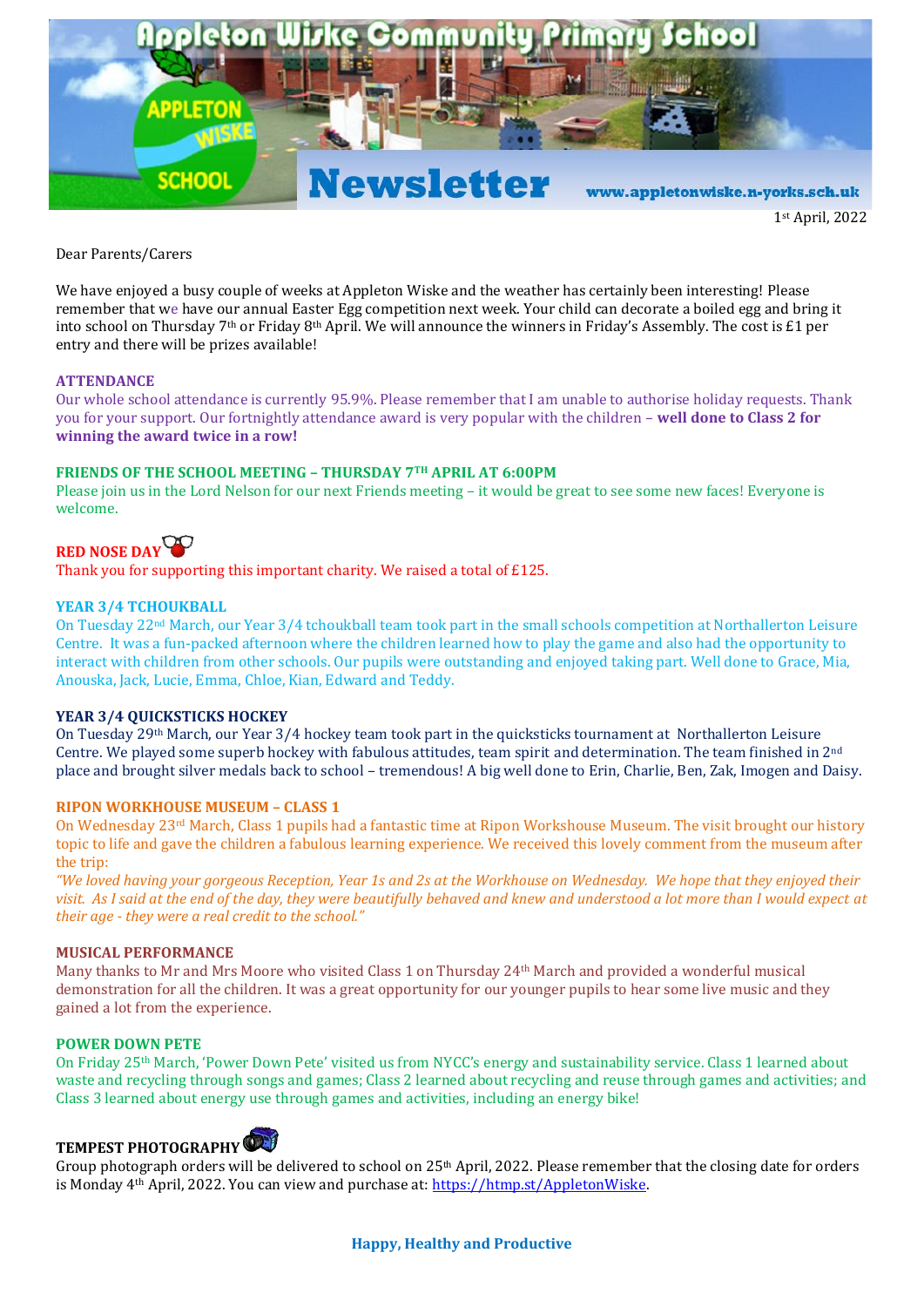

1st April, 2022

Dear Parents/Carers

We have enjoyed a busy couple of weeks at Appleton Wiske and the weather has certainly been interesting! Please remember that we have our annual Easter Egg competition next week. Your child can decorate a boiled egg and bring it into school on Thursday 7th or Friday 8th April. We will announce the winners in Friday's Assembly. The cost is £1 per entry and there will be prizes available!

#### **ATTENDANCE**

Our whole school attendance is currently 95.9%. Please remember that I am unable to authorise holiday requests. Thank you for your support. Our fortnightly attendance award is very popular with the children – **well done to Class 2 for winning the award twice in a row!**

#### **FRIENDS OF THE SCHOOL MEETING – THURSDAY 7TH APRIL AT 6:00PM**

Please join us in the Lord Nelson for our next Friends meeting – it would be great to see some new faces! Everyone is welcome.

# **RED NOSE DAY**

Thank you for supporting this important charity. We raised a total of £125.

#### **YEAR 3/4 TCHOUKBALL**

On Tuesday 22nd March, our Year 3/4 tchoukball team took part in the small schools competition at Northallerton Leisure Centre. It was a fun-packed afternoon where the children learned how to play the game and also had the opportunity to interact with children from other schools. Our pupils were outstanding and enjoyed taking part. Well done to Grace, Mia, Anouska, Jack, Lucie, Emma, Chloe, Kian, Edward and Teddy.

#### **YEAR 3/4 QUICKSTICKS HOCKEY**

On Tuesday 29th March, our Year 3/4 hockey team took part in the quicksticks tournament at Northallerton Leisure Centre. We played some superb hockey with fabulous attitudes, team spirit and determination. The team finished in 2nd place and brought silver medals back to school – tremendous! A big well done to Erin, Charlie, Ben, Zak, Imogen and Daisy.

#### **RIPON WORKHOUSE MUSEUM – CLASS 1**

On Wednesday 23<sup>rd</sup> March, Class 1 pupils had a fantastic time at Ripon Workshouse Museum. The visit brought our history topic to life and gave the children a fabulous learning experience. We received this lovely comment from the museum after the trip:

*"We loved having your gorgeous Reception, Year 1s and 2s at the Workhouse on Wednesday. We hope that they enjoyed their visit. As I said at the end of the day, they were beautifully behaved and knew and understood a lot more than I would expect at their age - they were a real credit to the school."* 

#### **MUSICAL PERFORMANCE**

Many thanks to Mr and Mrs Moore who visited Class 1 on Thursday 24th March and provided a wonderful musical demonstration for all the children. It was a great opportunity for our younger pupils to hear some live music and they gained a lot from the experience.

# **POWER DOWN PETE**

On Friday 25th March, 'Power Down Pete' visited us from NYCC's energy and sustainability service. Class 1 learned about waste and recycling through songs and games; Class 2 learned about recycling and reuse through games and activities; and Class 3 learned about energy use through games and activities, including an energy bike!

# **TEMPEST PHOTOGRAPHY**

Group photograph orders will be delivered to school on 25th April, 2022. Please remember that the closing date for orders is Monday 4th April, 2022. You can view and purchase at: [https://htmp.st/AppletonWiske.](https://htmp.st/AppletonWiske)

## **Happy, Healthy and Productive**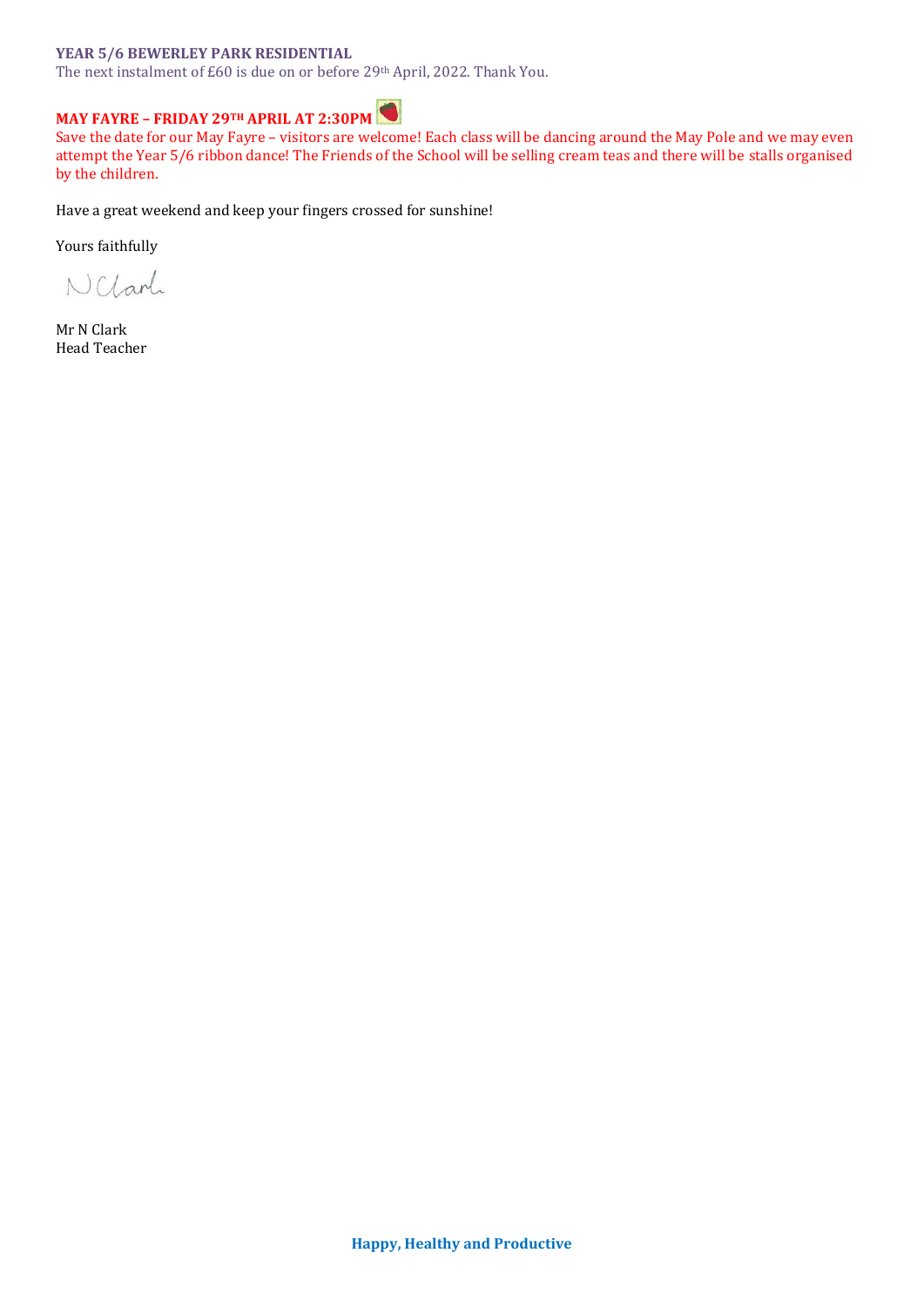## **YEAR 5/6 BEWERLEY PARK RESIDENTIAL**

The next instalment of £60 is due on or before 29th April, 2022. Thank You.

# **MAY FAYRE – FRIDAY 29TH APRIL AT 2:30PM**

Save the date for our May Fayre – visitors are welcome! Each class will be dancing around the May Pole and we may even attempt the Year 5/6 ribbon dance! The Friends of the School will be selling cream teas and there will be stalls organised by the children.

Have a great weekend and keep your fingers crossed for sunshine!

Yours faithfully

NCLarl

Mr N Clark Head Teacher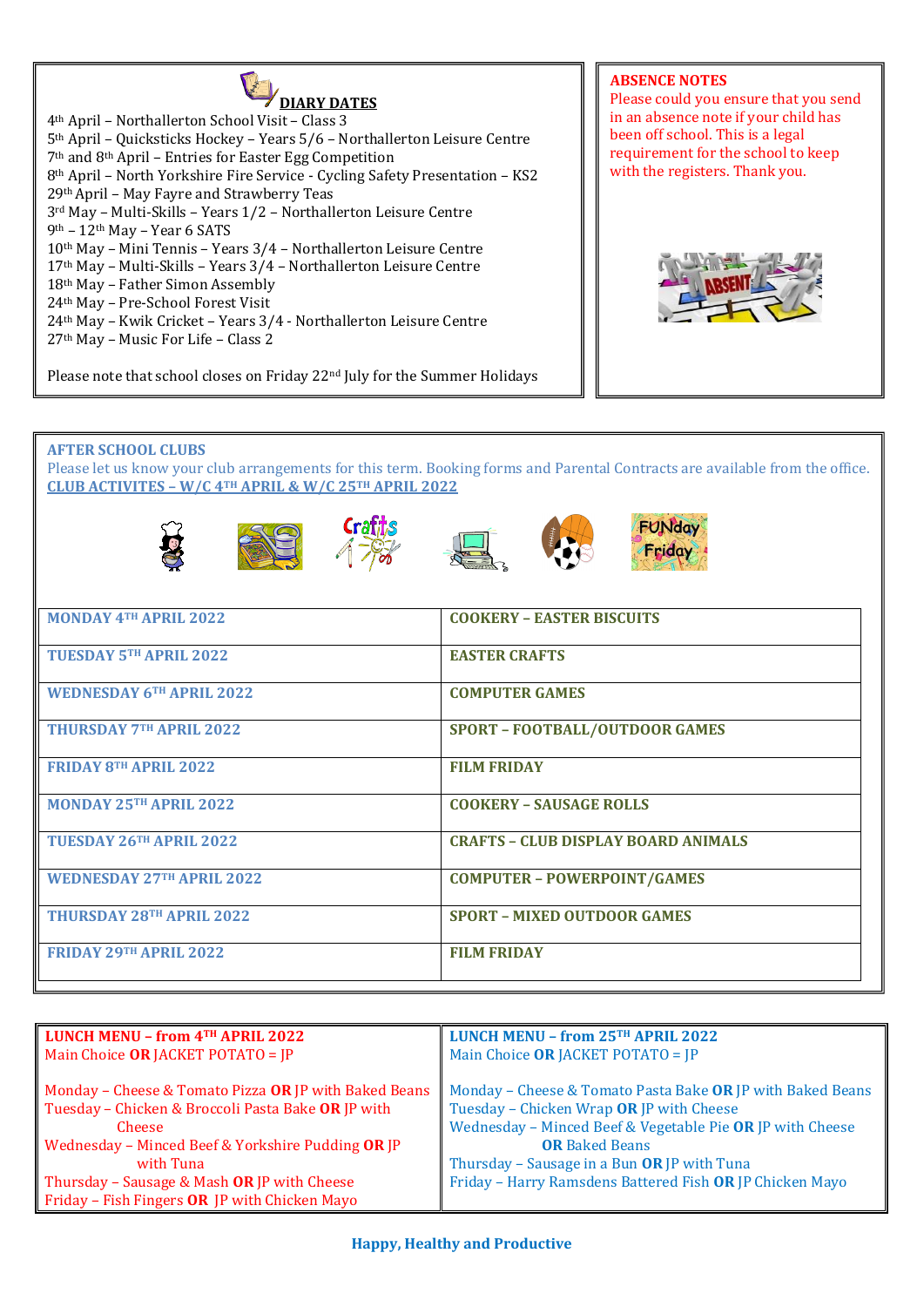

th April – Northallerton School Visit – Class 3 th April – Quicksticks Hockey – Years 5/6 – Northallerton Leisure Centre th and 8th April – Entries for Easter Egg Competition th April – North Yorkshire Fire Service - Cycling Safety Presentation – KS2 th April – May Fayre and Strawberry Teas rd May – Multi-Skills – Years 1/2 – Northallerton Leisure Centre th – 12th May – Year 6 SATS th May – Mini Tennis – Years 3/4 – Northallerton Leisure Centre th May – Multi-Skills – Years 3/4 – Northallerton Leisure Centre th May – Father Simon Assembly th May – Pre-School Forest Visit th May – Kwik Cricket – Years 3/4 - Northallerton Leisure Centre th May – Music For Life – Class 2

**ABSENCE NOTES**  Please could you ensure that you send in an absence note if your child has been off school. This is a legal requirement for the school to keep with the registers. Thank you.



Please note that school closes on Friday 22<sup>nd</sup> July for the Summer Holidays

# **AFTER SCHOOL CLUBS**

Please let us know your club arrangements for this term. Booking forms and Parental Contracts are available from the office. **CLUB ACTIVITES – W/C 4TH APRIL & W/C 25TH APRIL 2022**











| MONDAY 4TH APRIL 2022            | <b>COOKERY - EASTER BISCUITS</b>           |
|----------------------------------|--------------------------------------------|
| <b>TUESDAY 5TH APRIL 2022</b>    | <b>EASTER CRAFTS</b>                       |
| <b>WEDNESDAY 6TH APRIL 2022</b>  | <b>COMPUTER GAMES</b>                      |
| <b>THURSDAY 7TH APRIL 2022</b>   | <b>SPORT - FOOTBALL/OUTDOOR GAMES</b>      |
| <b>FRIDAY 8TH APRIL 2022</b>     | <b>FILM FRIDAY</b>                         |
| MONDAY 25TH APRIL 2022           | <b>COOKERY - SAUSAGE ROLLS</b>             |
| TUESDAY 26TH APRIL 2022          | <b>CRAFTS - CLUB DISPLAY BOARD ANIMALS</b> |
| <b>WEDNESDAY 27TH APRIL 2022</b> | <b>COMPUTER - POWERPOINT/GAMES</b>         |
| <b>THURSDAY 28TH APRIL 2022</b>  | <b>SPORT - MIXED OUTDOOR GAMES</b>         |
| <b>FRIDAY 29TH APRIL 2022</b>    | <b>FILM FRIDAY</b>                         |

| LUNCH MENU - from 4TH APRIL 2022                      | <b>LUNCH MENU - from 25TH APRIL 2022</b>                   |
|-------------------------------------------------------|------------------------------------------------------------|
| Main Choice OR JACKET POTATO = JP                     | Main Choice OR JACKET POTATO = JP                          |
|                                                       |                                                            |
| Monday - Cheese & Tomato Pizza OR JP with Baked Beans | Monday - Cheese & Tomato Pasta Bake OR JP with Baked Beans |
| Tuesday - Chicken & Broccoli Pasta Bake OR JP with    | Tuesday - Chicken Wrap OR JP with Cheese                   |
| <b>Cheese</b>                                         | Wednesday - Minced Beef & Vegetable Pie OR JP with Cheese  |
| Wednesday - Minced Beef & Yorkshire Pudding OR JP     | <b>OR</b> Baked Beans                                      |
| with Tuna                                             | Thursday - Sausage in a Bun OR JP with Tuna                |
| Thursday - Sausage & Mash OR JP with Cheese           | Friday - Harry Ramsdens Battered Fish OR JP Chicken Mayo   |
| Friday - Fish Fingers OR JP with Chicken Mayo         |                                                            |